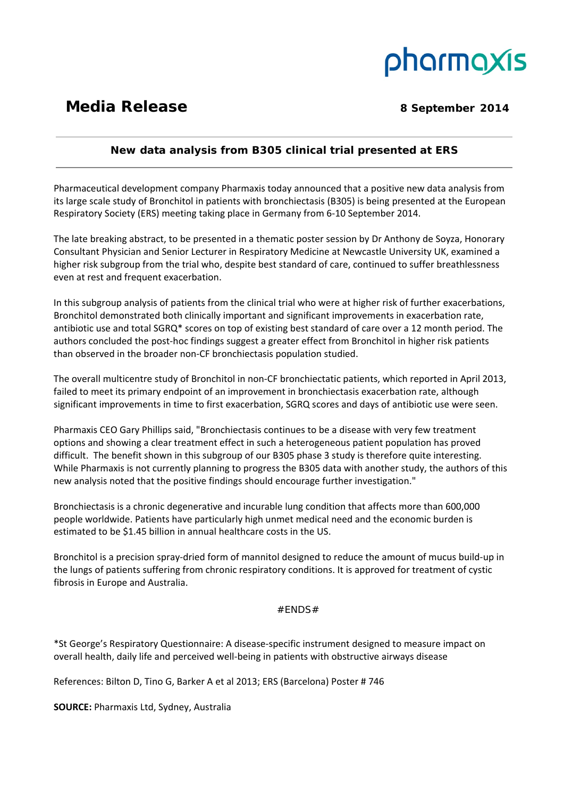# pharmaxis

## **Media Release** 8 September 2014

 $\overline{a}$ 

### **New data analysis from B305 clinical trial presented at ERS**  <u> 1989 - Andrea Santa Alemania, amerikana amerikana amerikana amerikana amerikana amerikana amerikana amerikan</u>

Pharmaceutical development company Pharmaxis today announced that a positive new data analysis from its large scale study of Bronchitol in patients with bronchiectasis (B305) is being presented at the European Respiratory Society (ERS) meeting taking place in Germany from 6‐10 September 2014.

The late breaking abstract, to be presented in a thematic poster session by Dr Anthony de Soyza, Honorary Consultant Physician and Senior Lecturer in Respiratory Medicine at Newcastle University UK, examined a higher risk subgroup from the trial who, despite best standard of care, continued to suffer breathlessness even at rest and frequent exacerbation.

In this subgroup analysis of patients from the clinical trial who were at higher risk of further exacerbations, Bronchitol demonstrated both clinically important and significant improvements in exacerbation rate, antibiotic use and total SGRQ\* scores on top of existing best standard of care over a 12 month period. The authors concluded the post-hoc findings suggest a greater effect from Bronchitol in higher risk patients than observed in the broader non‐CF bronchiectasis population studied.

The overall multicentre study of Bronchitol in non‐CF bronchiectatic patients, which reported in April 2013, failed to meet its primary endpoint of an improvement in bronchiectasis exacerbation rate, although significant improvements in time to first exacerbation, SGRQ scores and days of antibiotic use were seen.

Pharmaxis CEO Gary Phillips said, "Bronchiectasis continues to be a disease with very few treatment options and showing a clear treatment effect in such a heterogeneous patient population has proved difficult. The benefit shown in this subgroup of our B305 phase 3 study is therefore quite interesting. While Pharmaxis is not currently planning to progress the B305 data with another study, the authors of this new analysis noted that the positive findings should encourage further investigation."

Bronchiectasis is a chronic degenerative and incurable lung condition that affects more than 600,000 people worldwide. Patients have particularly high unmet medical need and the economic burden is estimated to be \$1.45 billion in annual healthcare costs in the US.

Bronchitol is a precision spray‐dried form of mannitol designed to reduce the amount of mucus build‐up in the lungs of patients suffering from chronic respiratory conditions. It is approved for treatment of cystic fibrosis in Europe and Australia.

#### $#FNDS#$

\*St George's Respiratory Questionnaire: A disease‐specific instrument designed to measure impact on overall health, daily life and perceived well‐being in patients with obstructive airways disease

References: Bilton D, Tino G, Barker A et al 2013; ERS (Barcelona) Poster # 746

**SOURCE:** Pharmaxis Ltd, Sydney, Australia